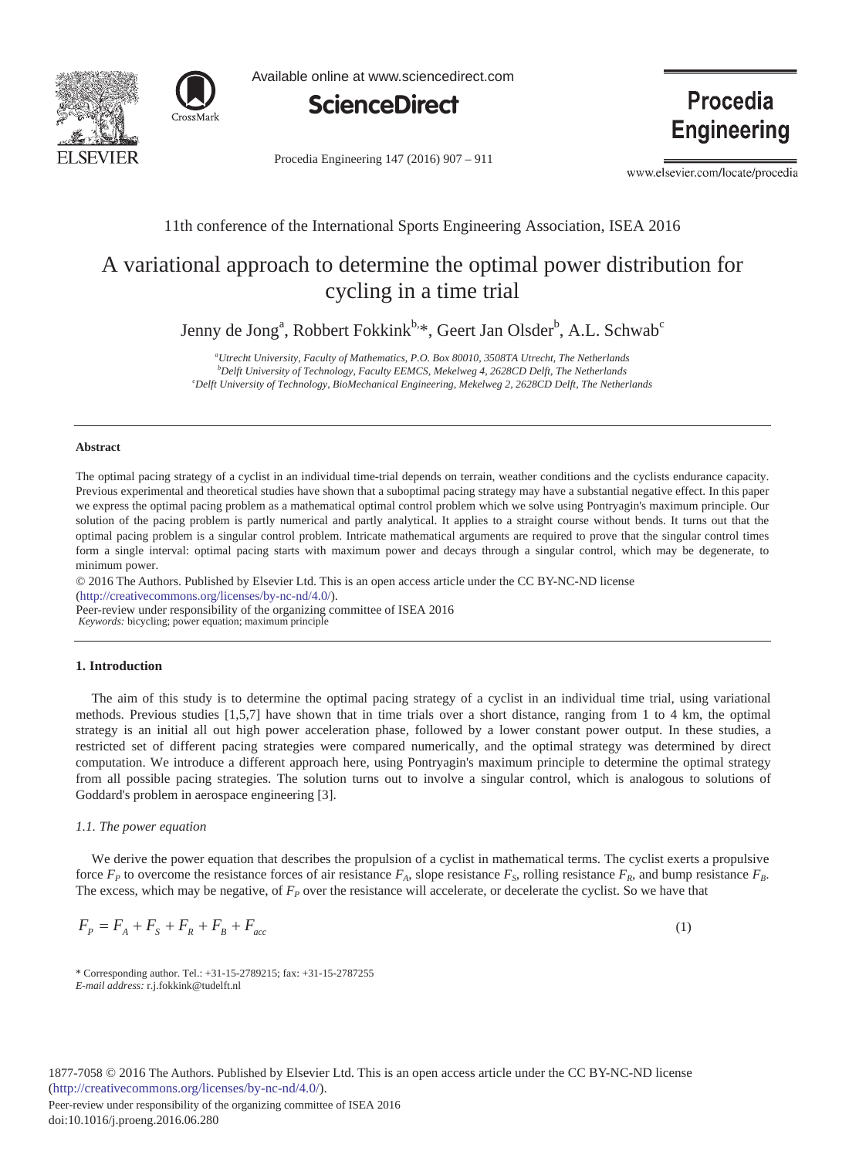



Available online at www.sciencedirect.com



Procedia Engineering 147 (2016) 907 - 911

**Procedia Engineering** 

www.elsevier.com/locate/procedia

# 11th conference of the International Sports Engineering Association, ISEA 2016

# A variational approach to determine the optimal power distribution for cycling in a time trial

Jenny de Jong<sup>a</sup>, Robbert Fokkink<sup>b,</sup>\*, Geert Jan Olsder<sup>b</sup>, A.L. Schwab<sup>c</sup>

*a Utrecht University, Faculty of Mathematics, P.O. Box 80010, 3508TA Utrecht, The Netherlands* <sup>*b*</sup> Delft University of Technology, Faculty EEMCS, Mekelweg 4, 2628CD Delft, The Netherlands <sup>c</sup>Delft University of Technology, BioMechanical Engineering, Mekelweg 2, 2628CD Delft, The Netherl *Delft University of Technology, BioMechanical Engineering, Mekelweg 2, 2628CD Delft, The Netherlands*

#### **Abstract**

The optimal pacing strategy of a cyclist in an individual time-trial depends on terrain, weather conditions and the cyclists endurance capacity. Previous experimental and theoretical studies have shown that a suboptimal pacing strategy may have a substantial negative effect. In this paper we express the optimal pacing problem as a mathematical optimal control problem which we solve using Pontryagin's maximum principle. Our solution of the pacing problem is partly numerical and partly analytical. It applies to a straight course without bends. It turns out that the optimal pacing problem is a singular control problem. Intricate mathematical arguments are required to prove that the singular control times form a single interval: optimal pacing starts with maximum power and decays through a singular control, which may be degenerate, to minimum power.

(http://creativecommons.org/licenses/by-nc-nd/4.0/). © 2016 The Authors. Published by Elsevier Ltd. This is an open access article under the CC BY-NC-ND license

Peer-review under responsibility of the organizing committee of ISEA 2016 Peer-review under responsibility of the organizing committee of ISEA 2016

*Keywords:* bicycling; power equation; maximum principle

#### **1. Introduction**

The aim of this study is to determine the optimal pacing strategy of a cyclist in an individual time trial, using variational methods. Previous studies [1,5,7] have shown that in time trials over a short distance, ranging from 1 to 4 km, the optimal strategy is an initial all out high power acceleration phase, followed by a lower constant power output. In these studies, a restricted set of different pacing strategies were compared numerically, and the optimal strategy was determined by direct computation. We introduce a different approach here, using Pontryagin's maximum principle to determine the optimal strategy from all possible pacing strategies. The solution turns out to involve a singular control, which is analogous to solutions of Goddard's problem in aerospace engineering [3].

# *1.1. The power equation*

We derive the power equation that describes the propulsion of a cyclist in mathematical terms. The cyclist exerts a propulsive force  $F_P$  to overcome the resistance forces of air resistance  $F_A$ , slope resistance  $F_S$ , rolling resistance  $F_B$ , and bump resistance  $F_B$ . The excess, which may be negative, of  $F_P$  over the resistance will accelerate, or decelerate the cyclist. So we have that

$$
F_p = F_A + F_S + F_R + F_{bc}
$$
 (1)

<sup>\*</sup> Corresponding author. Tel.: +31-15-2789215; fax: +31-15-2787255 *E-mail address:* r.j.fokkink@tudelft.nl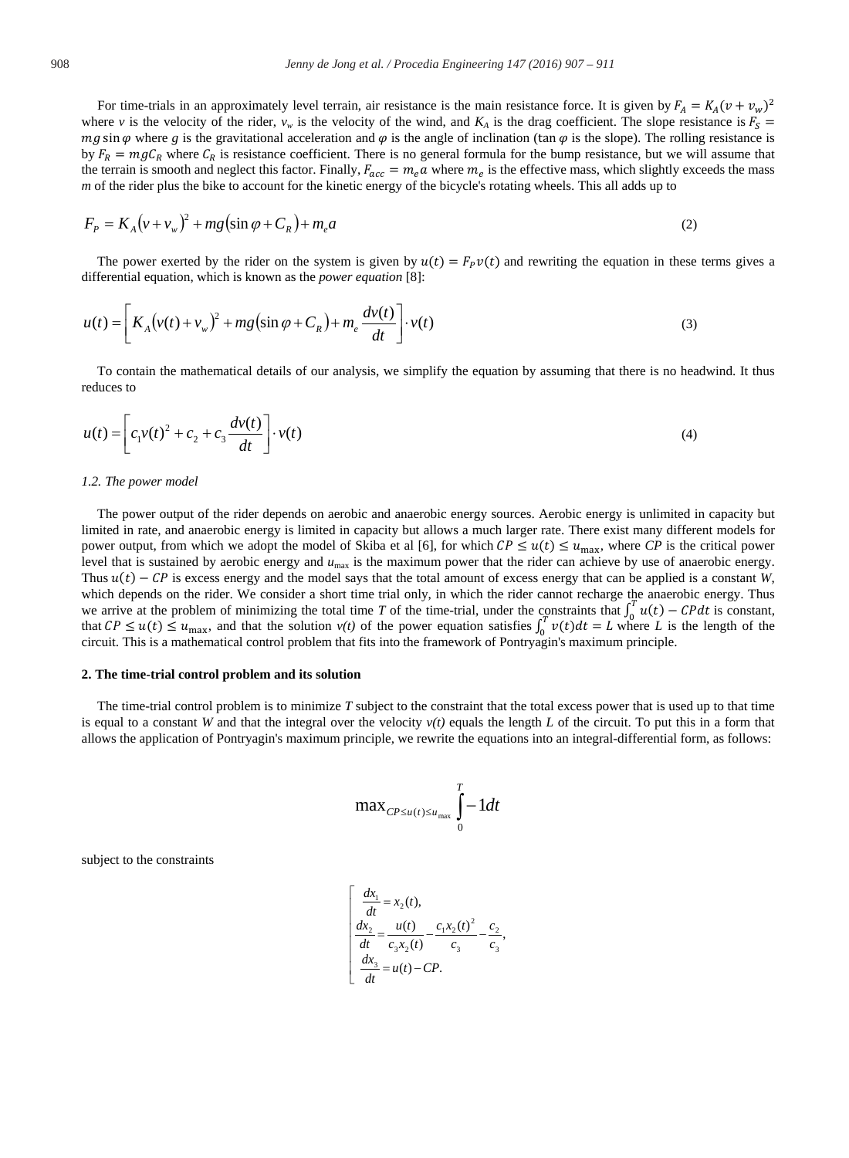For time-trials in an approximately level terrain, air resistance is the main resistance force. It is given by  $F_A = K_A (v + v_w)^2$ where *v* is the velocity of the rider,  $v_w$  is the velocity of the wind, and  $K_A$  is the drag coefficient. The slope resistance is  $F_s$  $mg \sin \varphi$  where *g* is the gravitational acceleration and  $\varphi$  is the angle of inclination (tan  $\varphi$  is the slope). The rolling resistance is by  $F_R = mgC_R$  where  $C_R$  is resistance coefficient. There is no general formula for the bump resistance, but we will assume that the terrain is smooth and neglect this factor. Finally,  $F_{acc} = m_e a$  where  $m_e$  is the effective mass, which slightly exceeds the mass *m* of the rider plus the bike to account for the kinetic energy of the bicycle's rotating wheels. This all adds up to

$$
F_P = K_A (v + v_w)^2 + mg(\sin \varphi + C_R) + m_e a \tag{2}
$$

The power exerted by the rider on the system is given by  $u(t) = F_p v(t)$  and rewriting the equation in these terms gives a differential equation, which is known as the *power equation* [8]:

$$
u(t) = \left[K_A(v(t) + v_w)^2 + mg(\sin\varphi + C_R) + m_e \frac{dv(t)}{dt}\right] \cdot v(t)
$$
\n(3)

To contain the mathematical details of our analysis, we simplify the equation by assuming that there is no headwind. It thus reduces to

$$
u(t) = \left[ c_1 v(t)^2 + c_2 + c_3 \frac{dv(t)}{dt} \right] \cdot v(t)
$$
 (4)

# *1.2. The power model*

The power output of the rider depends on aerobic and anaerobic energy sources. Aerobic energy is unlimited in capacity but limited in rate, and anaerobic energy is limited in capacity but allows a much larger rate. There exist many different models for power output, from which we adopt the model of Skiba et al [6], for which  $\mathcal{CP} \leq u(t) \leq u_{\text{max}}$ , where  $\mathcal{CP}$  is the critical power level that is sustained by aerobic energy and *u*max is the maximum power that the rider can achieve by use of anaerobic energy. Thus  $u(t) - CP$  is excess energy and the model says that the total amount of excess energy that can be applied is a constant *W*, which depends on the rider. We consider a short time trial only, in which the rider cannot recharge the anaerobic energy. Thus we arrive at the problem of minimizing the total time *T* of the time-trial, under the constraints that  $\int_0^T u(t) - CP dt$  is constant, that  $CP \le u(t) \le u_{\text{max}}$ , and that the solution  $v(t)$  of the power equation satisfies  $\int_0^T v(t) dt = L$  where *L* is the length of the circuit. This is a mathematical control problem that fits into the framework of Pontryagin's maximum principle.

#### **2. The time-trial control problem and its solution**

The time-trial control problem is to minimize *T* subject to the constraint that the total excess power that is used up to that time is equal to a constant *W* and that the integral over the velocity  $v(t)$  equals the length *L* of the circuit. To put this in a form that allows the application of Pontryagin's maximum principle, we rewrite the equations into an integral-differential form, as follows:

$$
\max_{CP \le u(t) \le u_{\max}} \int_{0}^{T} -1 dt
$$

subject to the constraints

$$
\begin{cases}\n\frac{dx_1}{dt} = x_2(t), \\
\frac{dx_2}{dt} = \frac{u(t)}{c_3x_2(t)} - \frac{c_1x_2(t)^2}{c_3} - \frac{c_2}{c_3}, \\
\frac{dx_3}{dt} = u(t) - CP.\n\end{cases}
$$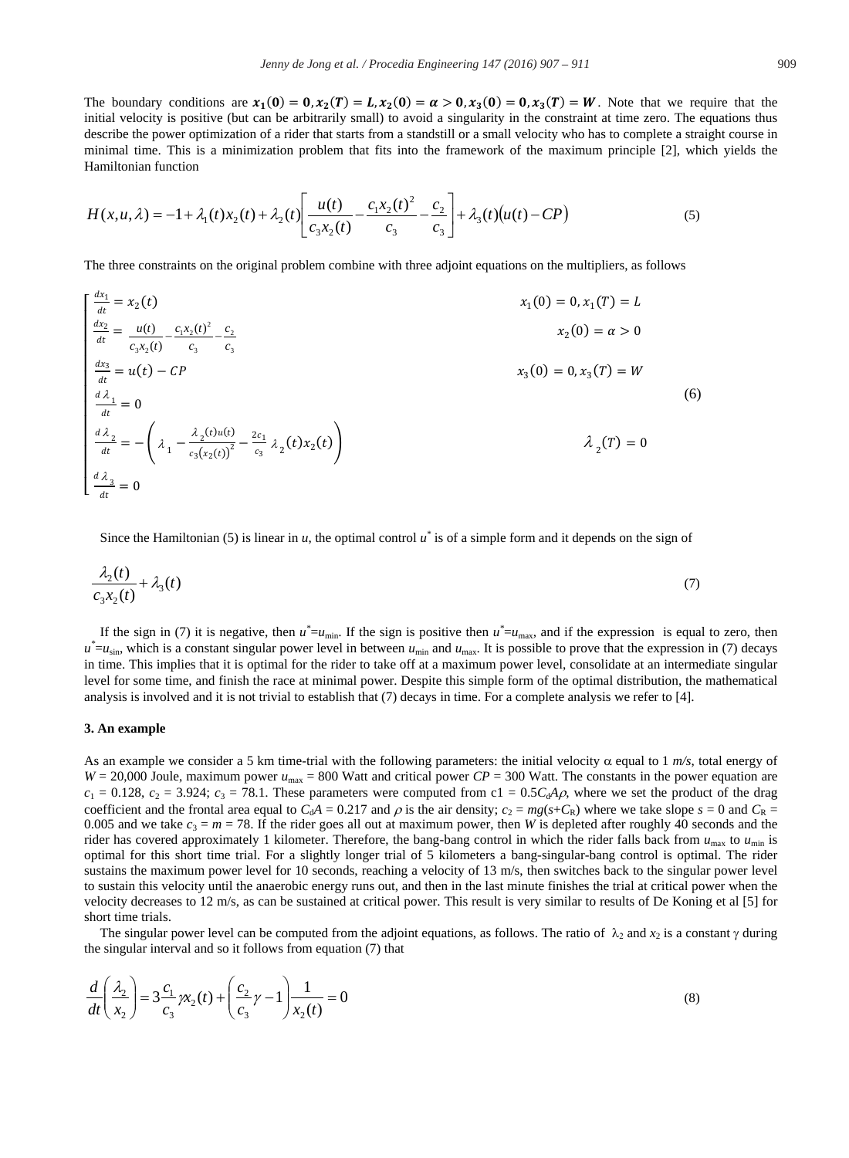The boundary conditions are  $x_1(0) = 0$ ,  $x_2(T) = L$ ,  $x_2(0) = \alpha > 0$ ,  $x_3(0) = 0$ ,  $x_3(T) = W$ . Note that we require that the initial velocity is positive (but can be arbitrarily small) to avoid a singularity in the constraint at time zero. The equations thus describe the power optimization of a rider that starts from a standstill or a small velocity who has to complete a straight course in minimal time. This is a minimization problem that fits into the framework of the maximum principle [2], which yields the Hamiltonian function

$$
H(x, u, \lambda) = -1 + \lambda_1(t)x_2(t) + \lambda_2(t) \left[ \frac{u(t)}{c_3 x_2(t)} - \frac{c_1 x_2(t)^2}{c_3} - \frac{c_2}{c_3} \right] + \lambda_3(t) \left( u(t) - CP \right)
$$
\n(5)

The three constraints on the original problem combine with three adjoint equations on the multipliers, as follows

$$
\begin{cases}\n\frac{ax_1}{dt} = x_2(t) & x_1(0) = 0, x_1(T) = L \\
\frac{dx_2}{dt} = \frac{u(t)}{c_3x_2(t)} - \frac{c_1x_2(t)^2}{c_3} - \frac{c_2}{c_3} & x_2(0) = a > 0\n\end{cases}
$$
\n
$$
\begin{cases}\n\frac{dx_2}{dt} = u(t) - CP & x_3(0) = 0, x_3(T) = W \\
\frac{d\lambda_1}{dt} = 0 & x_3(0) = 0, x_3(T) = W\n\end{cases}
$$
\n
$$
\begin{cases}\n\frac{d\lambda_2}{dt} = -\left(\lambda_1 - \frac{\lambda_2(t)u(t)}{c_3(x_2(t))^2} - \frac{2c_1}{c_3}\lambda_2(t)x_2(t)\right) & \lambda_2(T) = 0 \\
\frac{d\lambda_3}{dt} = 0 & x_3(0) = 0\n\end{cases}
$$
\n(6)

Since the Hamiltonian (5) is linear in *u*, the optimal control *u\** is of a simple form and it depends on the sign of

$$
\frac{\lambda_2(t)}{c_3x_2(t)} + \lambda_3(t) \tag{7}
$$

If the sign in (7) it is negative, then  $u^* = u_{min}$ . If the sign is positive then  $u^* = u_{max}$ , and if the expression is equal to zero, then  $u^* = u_{\text{sin}}$ , which is a constant singular power level in between  $u_{\text{min}}$  and  $u_{\text{max}}$ . It is possible to prove that the expression in (7) decays in time. This implies that it is optimal for the rider to take off at a maximum power level, consolidate at an intermediate singular level for some time, and finish the race at minimal power. Despite this simple form of the optimal distribution, the mathematical analysis is involved and it is not trivial to establish that (7) decays in time. For a complete analysis we refer to [4].

#### **3. An example**

As an example we consider a 5 km time-trial with the following parameters: the initial velocity  $\alpha$  equal to 1  $m/s$ , total energy of  $W = 20,000$  Joule, maximum power  $u_{\text{max}} = 800$  Watt and critical power  $CP = 300$  Watt. The constants in the power equation are  $c_1 = 0.128$ ,  $c_2 = 3.924$ ;  $c_3 = 78.1$ . These parameters were computed from c1 =  $0.5C_dA\rho$ , where we set the product of the drag coefficient and the frontal area equal to  $C_dA = 0.217$  and  $\rho$  is the air density;  $c_2 = mg(s+C_R)$  where we take slope  $s = 0$  and  $C_R$ 0.005 and we take  $c_3 = m = 78$ . If the rider goes all out at maximum power, then *W* is depleted after roughly 40 seconds and the rider has covered approximately 1 kilometer. Therefore, the bang-bang control in which the rider falls back from  $u_{\text{max}}$  to  $u_{\text{min}}$  is optimal for this short time trial. For a slightly longer trial of 5 kilometers a bang-singular-bang control is optimal. The rider sustains the maximum power level for 10 seconds, reaching a velocity of 13 m/s, then switches back to the singular power level to sustain this velocity until the anaerobic energy runs out, and then in the last minute finishes the trial at critical power when the velocity decreases to 12 m/s, as can be sustained at critical power. This result is very similar to results of De Koning et al [5] for short time trials.

The singular power level can be computed from the adjoint equations, as follows. The ratio of  $\lambda_2$  and  $x_2$  is a constant  $\gamma$  during the singular interval and so it follows from equation (7) that

$$
\frac{d}{dt}\left(\frac{\lambda_2}{x_2}\right) = 3\frac{c_1}{c_3}\gamma_2(t) + \left(\frac{c_2}{c_3}\gamma - 1\right)\frac{1}{x_2(t)} = 0\tag{8}
$$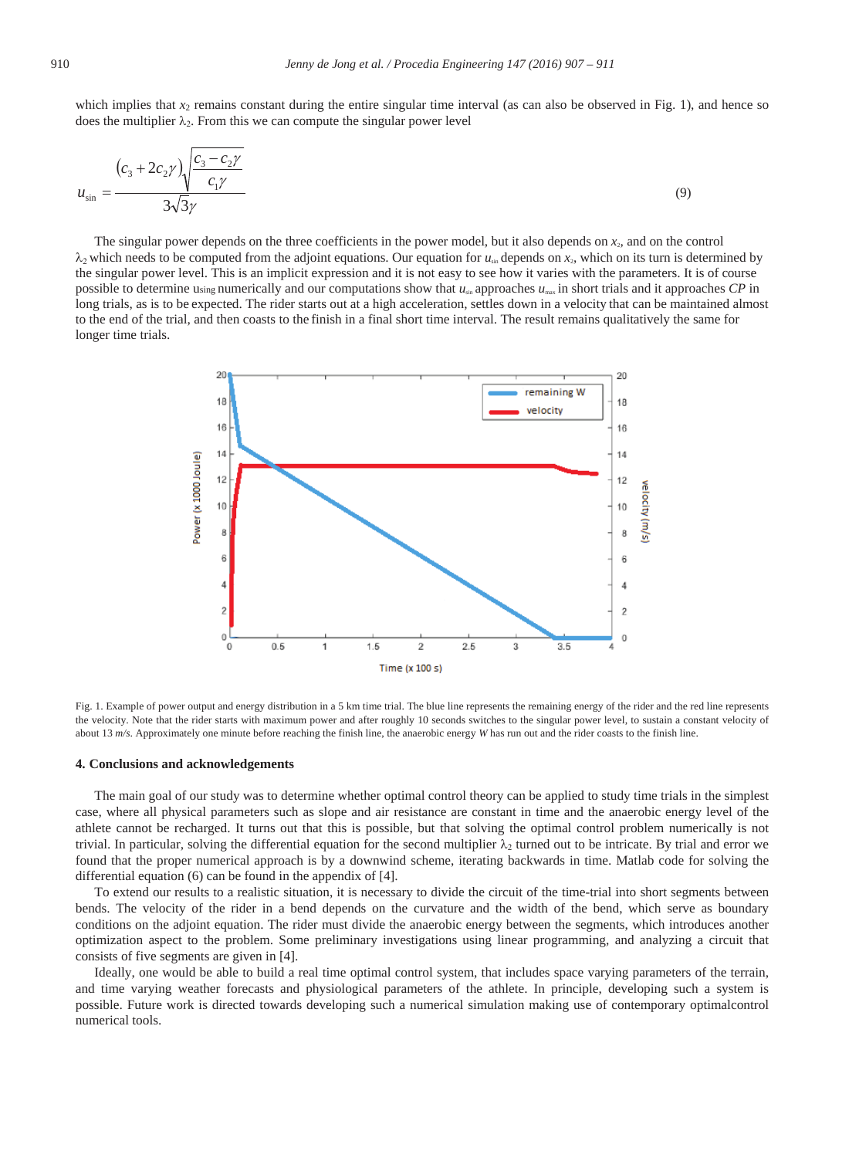which implies that  $x_2$  remains constant during the entire singular time interval (as can also be observed in Fig. 1), and hence so does the multiplier  $\lambda_2$ . From this we can compute the singular power level

$$
u_{\sin} = \frac{(c_3 + 2c_2\gamma)\sqrt{\frac{c_3 - c_2\gamma}{c_1\gamma}}}{3\sqrt{3}\gamma}
$$
\n(9)

The singular power depends on the three coefficients in the power model, but it also depends on  $x_2$ , and on the control  $\lambda_2$  which needs to be computed from the adjoint equations. Our equation for  $u_{\text{sub}}$  depends on  $x_2$ , which on its turn is determined by the singular power level. This is an implicit expression and it is not easy to see how it varies with the parameters. It is of course possible to determine using numerically and our computations show that *u*sin approaches *u*max in short trials and it approaches *CP* in long trials, as is to be expected. The rider starts out at a high acceleration, settles down in a velocity that can be maintained almost to the end of the trial, and then coasts to the finish in a final short time interval. The result remains qualitatively the same for longer time trials.



Fig. 1. Example of power output and energy distribution in a 5 km time trial. The blue line represents the remaining energy of the rider and the red line represents the velocity. Note that the rider starts with maximum power and after roughly 10 seconds switches to the singular power level, to sustain a constant velocity of about 13 *m/s*. Approximately one minute before reaching the finish line, the anaerobic energy *W* has run out and the rider coasts to the finish line.

# **4. Conclusions and acknowledgements**

The main goal of our study was to determine whether optimal control theory can be applied to study time trials in the simplest case, where all physical parameters such as slope and air resistance are constant in time and the anaerobic energy level of the athlete cannot be recharged. It turns out that this is possible, but that solving the optimal control problem numerically is not trivial. In particular, solving the differential equation for the second multiplier  $\lambda_2$  turned out to be intricate. By trial and error we found that the proper numerical approach is by a downwind scheme, iterating backwards in time. Matlab code for solving the differential equation (6) can be found in the appendix of [4].

To extend our results to a realistic situation, it is necessary to divide the circuit of the time-trial into short segments between bends. The velocity of the rider in a bend depends on the curvature and the width of the bend, which serve as boundary conditions on the adjoint equation. The rider must divide the anaerobic energy between the segments, which introduces another optimization aspect to the problem. Some preliminary investigations using linear programming, and analyzing a circuit that consists of five segments are given in [4].

Ideally, one would be able to build a real time optimal control system, that includes space varying parameters of the terrain, and time varying weather forecasts and physiological parameters of the athlete. In principle, developing such a system is possible. Future work is directed towards developing such a numerical simulation making use of contemporary optimalcontrol numerical tools.